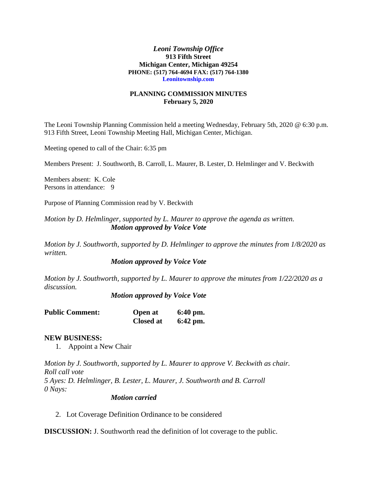#### *Leoni Township Office* **913 Fifth Street Michigan Center, Michigan 49254 PHONE: (517) 764-4694 FAX: (517) 764-1380 Leonitownship.com**

### **PLANNING COMMISSION MINUTES February 5, 2020**

The Leoni Township Planning Commission held a meeting Wednesday, February 5th, 2020 @ 6:30 p.m. 913 Fifth Street, Leoni Township Meeting Hall, Michigan Center, Michigan.

Meeting opened to call of the Chair: 6:35 pm

Members Present: J. Southworth, B. Carroll, L. Maurer, B. Lester, D. Helmlinger and V. Beckwith

Members absent: K. Cole Persons in attendance: 9

Purpose of Planning Commission read by V. Beckwith

*Motion by D. Helmlinger, supported by L. Maurer to approve the agenda as written. Motion approved by Voice Vote*

*Motion by J. Southworth, supported by D. Helmlinger to approve the minutes from 1/8/2020 as written.*

*Motion approved by Voice Vote*

*Motion by J. Southworth, supported by L. Maurer to approve the minutes from 1/22/2020 as a discussion.*

*Motion approved by Voice Vote*

| <b>Public Comment:</b> | Open at          | $6:40$ pm. |
|------------------------|------------------|------------|
|                        | <b>Closed at</b> | $6:42$ pm. |

### **NEW BUSINESS:**

1. Appoint a New Chair

*Motion by J. Southworth, supported by L. Maurer to approve V. Beckwith as chair. Roll call vote 5 Ayes: D. Helmlinger, B. Lester, L. Maurer, J. Southworth and B. Carroll 0 Nays:*

*Motion carried*

2. Lot Coverage Definition Ordinance to be considered

**DISCUSSION:** J. Southworth read the definition of lot coverage to the public.